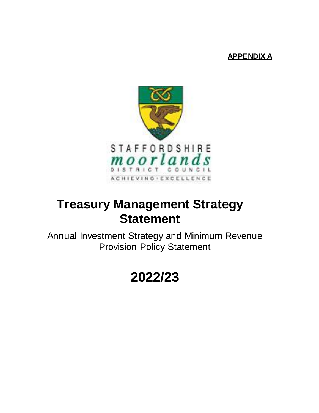# **APPENDIX A**



# **Treasury Management Strategy Statement**

Annual Investment Strategy and Minimum Revenue Provision Policy Statement

# **2022/23**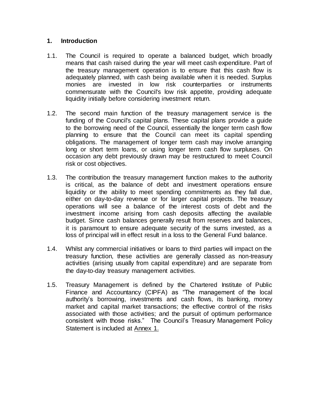## **1. Introduction**

- 1.1. The Council is required to operate a balanced budget, which broadly means that cash raised during the year will meet cash expenditure. Part of the treasury management operation is to ensure that this cash flow is adequately planned, with cash being available when it is needed. Surplus monies are invested in low risk counterparties or instruments commensurate with the Council's low risk appetite, providing adequate liquidity initially before considering investment return.
- 1.2. The second main function of the treasury management service is the funding of the Council's capital plans. These capital plans provide a guide to the borrowing need of the Council, essentially the longer term cash flow planning to ensure that the Council can meet its capital spending obligations. The management of longer term cash may involve arranging long or short term loans, or using longer term cash flow surpluses. On occasion any debt previously drawn may be restructured to meet Council risk or cost objectives.
- 1.3. The contribution the treasury management function makes to the authority is critical, as the balance of debt and investment operations ensure liquidity or the ability to meet spending commitments as they fall due, either on day-to-day revenue or for larger capital projects. The treasury operations will see a balance of the interest costs of debt and the investment income arising from cash deposits affecting the available budget. Since cash balances generally result from reserves and balances, it is paramount to ensure adequate security of the sums invested, as a loss of principal will in effect result in a loss to the General Fund balance.
- 1.4. Whilst any commercial initiatives or loans to third parties will impact on the treasury function, these activities are generally classed as non-treasury activities (arising usually from capital expenditure) and are separate from the day-to-day treasury management activities.
- 1.5. Treasury Management is defined by the Chartered Institute of Public Finance and Accountancy (CIPFA) as "The management of the local authority's borrowing, investments and cash flows, its banking, money market and capital market transactions; the effective control of the risks associated with those activities; and the pursuit of optimum performance consistent with those risks." The Council's Treasury Management Policy Statement is included at Annex 1.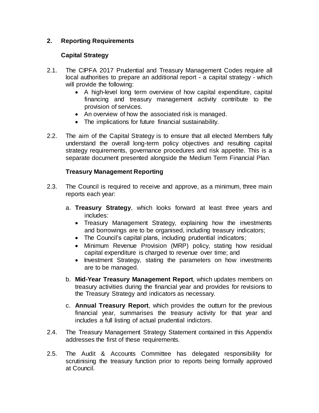# **2. Reporting Requirements**

# **Capital Strategy**

- 2.1. The CIPFA 2017 Prudential and Treasury Management Codes require all local authorities to prepare an additional report - a capital strategy - which will provide the following:
	- A high-level long term overview of how capital expenditure, capital financing and treasury management activity contribute to the provision of services.
	- An overview of how the associated risk is managed.
	- The implications for future financial sustainability.
- 2.2. The aim of the Capital Strategy is to ensure that all elected Members fully understand the overall long-term policy objectives and resulting capital strategy requirements, governance procedures and risk appetite. This is a separate document presented alongside the Medium Term Financial Plan.

# **Treasury Management Reporting**

- 2.3. The Council is required to receive and approve, as a minimum, three main reports each year:
	- a. **Treasury Strategy**, which looks forward at least three years and includes:
		- Treasury Management Strategy, explaining how the investments and borrowings are to be organised, including treasury indicators;
		- The Council's capital plans, including prudential indicators;
		- Minimum Revenue Provision (MRP) policy, stating how residual capital expenditure is charged to revenue over time; and
		- Investment Strategy, stating the parameters on how investments are to be managed.
	- b. **Mid-Year Treasury Management Report***,* which updates members on treasury activities during the financial year and provides for revisions to the Treasury Strategy and indicators as necessary.
	- c. **Annual Treasury Report**, which provides the outturn for the previous financial year, summarises the treasury activity for that year and includes a full listing of actual prudential indictors.
- 2.4. The Treasury Management Strategy Statement contained in this Appendix addresses the first of these requirements.
- 2.5. The Audit & Accounts Committee has delegated responsibility for scrutinising the treasury function prior to reports being formally approved at Council.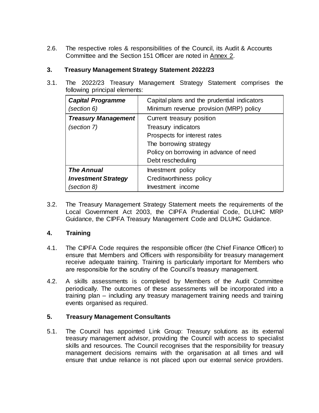2.6. The respective roles & responsibilities of the Council, its Audit & Accounts Committee and the Section 151 Officer are noted in Annex 2.

# **3. Treasury Management Strategy Statement 2022/23**

3.1. The 2022/23 Treasury Management Strategy Statement comprises the following principal elements:

| <b>Capital Programme</b><br>(section 6) | Capital plans and the prudential indicators<br>Minimum revenue provision (MRP) policy |
|-----------------------------------------|---------------------------------------------------------------------------------------|
| <b>Treasury Management</b>              | Current treasury position                                                             |
| (section 7)                             | Treasury indicators                                                                   |
|                                         | Prospects for interest rates                                                          |
|                                         | The borrowing strategy                                                                |
|                                         | Policy on borrowing in advance of need                                                |
|                                         | Debt rescheduling                                                                     |
| <b>The Annual</b>                       | Investment policy                                                                     |
| <b>Investment Strategy</b>              | Creditworthiness policy                                                               |
| (section 8)                             | Investment income                                                                     |

3.2. The Treasury Management Strategy Statement meets the requirements of the Local Government Act 2003, the CIPFA Prudential Code, DLUHC MRP Guidance, the CIPFA Treasury Management Code and DLUHC Guidance.

# **4. Training**

- 4.1. The CIPFA Code requires the responsible officer (the Chief Finance Officer) to ensure that Members and Officers with responsibility for treasury management receive adequate training. Training is particularly important for Members who are responsible for the scrutiny of the Council's treasury management.
- 4.2. A skills assessments is completed by Members of the Audit Committee periodically. The outcomes of these assessments will be incorporated into a training plan – including any treasury management training needs and training events organised as required.

# **5. Treasury Management Consultants**

5.1. The Council has appointed Link Group: Treasury solutions as its external treasury management advisor, providing the Council with access to specialist skills and resources. The Council recognises that the responsibility for treasury management decisions remains with the organisation at all times and will ensure that undue reliance is not placed upon our external service providers.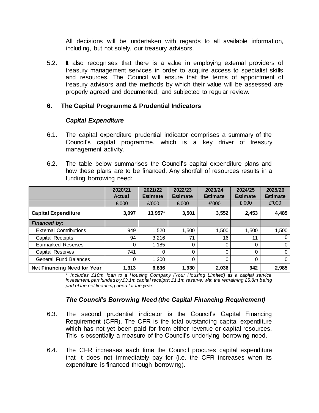All decisions will be undertaken with regards to all available information, including, but not solely, our treasury advisors.

5.2. It also recognises that there is a value in employing external providers of treasury management services in order to acquire access to specialist skills and resources. The Council will ensure that the terms of appointment of treasury advisors and the methods by which their value will be assessed are properly agreed and documented, and subjected to regular review.

#### **6. The Capital Programme & Prudential Indicators**

#### *Capital Expenditure*

- 6.1. The capital expenditure prudential indicator comprises a summary of the Council's capital programme, which is a key driver of treasury management activity.
- 6.2. The table below summarises the Council's capital expenditure plans and how these plans are to be financed. Any shortfall of resources results in a funding borrowing need:

|                                    | 2020/21<br><b>Actual</b> | 2021/22<br><b>Estimate</b> | 2022/23<br><b>Estimate</b> | 2023/24<br><b>Estimate</b> | 2024/25<br><b>Estimate</b> | 2025/26<br><b>Estimate</b> |
|------------------------------------|--------------------------|----------------------------|----------------------------|----------------------------|----------------------------|----------------------------|
|                                    | £'000                    | £'000                      | £'000                      | £'000                      | £'000                      | £'000                      |
| <b>Capital Expenditure</b>         | 3,097                    | 13,957*                    | 3,501                      | 3,552                      | 2,453                      | 4,485                      |
| <b>Financed by:</b>                |                          |                            |                            |                            |                            |                            |
| <b>External Contributions</b>      | 949                      | 1,520                      | 1,500                      | 1,500                      | 1,500                      | 1,500                      |
| <b>Capital Receipts</b>            | 94                       | 3,216                      | 71                         | 16                         | 11                         | 0                          |
| <b>Earmarked Reserves</b>          | 0                        | 1,185                      | 0                          | 0                          | 0                          | 0                          |
| Capital Reserves                   | 741                      | 0                          | 0                          | 0                          | 0                          | $\Omega$                   |
| <b>General Fund Balances</b>       | 0                        | 1.200                      | 0                          | 0                          | 0                          | $\Omega$                   |
| <b>Net Financing Need for Year</b> | 1,313                    | 6,836                      | 1,930                      | 2,036                      | 942                        | 2,985                      |

*\* Includes £10m loan to a Housing Company (Your Housing Limited) as a capital service investment; part funded by £3.1m capital receipts; £1.1m reserve; with the remaining £5.8m being part of the net financing need for the year.*

#### *The Council's Borrowing Need (the Capital Financing Requirement)*

- 6.3. The second prudential indicator is the Council's Capital Financing Requirement (CFR). The CFR is the total outstanding capital expenditure which has not yet been paid for from either revenue or capital resources. This is essentially a measure of the Council's underlying borrowing need.
- 6.4. The CFR increases each time the Council procures capital expenditure that it does not immediately pay for (i.e. the CFR increases when its expenditure is financed through borrowing).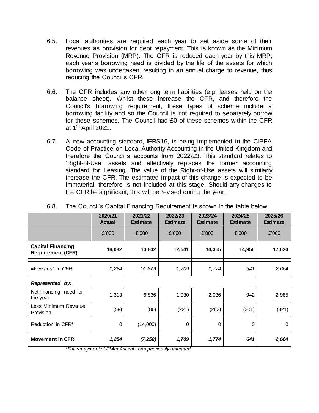- 6.5. Local authorities are required each year to set aside some of their revenues as provision for debt repayment. This is known as the Minimum Revenue Provision (MRP). The CFR is reduced each year by this MRP; each year's borrowing need is divided by the life of the assets for which borrowing was undertaken, resulting in an annual charge to revenue, thus reducing the Council's CFR.
- 6.6. The CFR includes any other long term liabilities (e.g. leases held on the balance sheet). Whilst these increase the CFR, and therefore the Council's borrowing requirement, these types of scheme include a borrowing facility and so the Council is not required to separately borrow for these schemes. The Council had £0 of these schemes within the CFR at  $1^{\text{st}}$  April 2021.
- 6.7. A new accounting standard, IFRS16, is being implemented in the CIPFA Code of Practice on Local Authority Accounting in the United Kingdom and therefore the Council's accounts from 2022/23. This standard relates to 'Right-of-Use' assets and effectively replaces the former accounting standard for Leasing. The value of the Right-of-Use assets will similarly increase the CFR. The estimated impact of this change is expected to be immaterial, therefore is not included at this stage. Should any changes to the CFR be significant, this will be revised during the year.

|                                                      | 2020/21<br><b>Actual</b> | 2021/22<br><b>Estimate</b> | 2022/23<br><b>Estimate</b> | 2023/24<br><b>Estimate</b> | 2024/25<br><b>Estimate</b> | 2025/26<br><b>Estimate</b> |
|------------------------------------------------------|--------------------------|----------------------------|----------------------------|----------------------------|----------------------------|----------------------------|
|                                                      | £'000                    | £'000                      | £'000                      | £'000                      | £'000                      | £'000                      |
| <b>Capital Financing</b><br><b>Requirement (CFR)</b> | 18,082                   | 10,832                     | 12,541                     | 14,315                     | 14,956                     | 17,620                     |
| Movement in CFR                                      | 1,254                    | (7,250)                    | 1,709                      | 1,774                      | 641                        | 2,664                      |

6.8. The Council's Capital Financing Requirement is shown in the table below:

*Represented by:*

| Net financing<br>need for<br>the year | 1,313       | 6,836    | 1,930 | 2,036 | 942  | 2,985 |
|---------------------------------------|-------------|----------|-------|-------|------|-------|
| Less Minimum Revenue<br>Provision     | (59)        | (86)     | (221) | (262) | (301 | (321) |
| Reduction in CFR*                     | $\mathbf 0$ | (14,000) |       | 0     | 0    | 0     |
| <b>Movement in CFR</b>                | 1,254       | (7, 250) | 1,709 | 1,774 | 641  | 2,664 |

*\*Full repayment of £14m Ascent Loan previously unfunded.*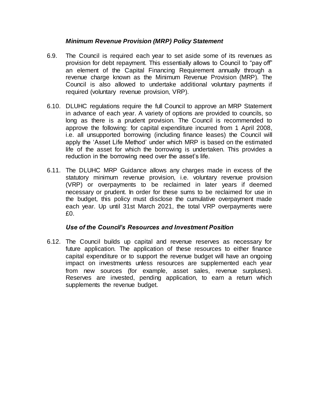### *Minimum Revenue Provision (MRP) Policy Statement*

- 6.9. The Council is required each year to set aside some of its revenues as provision for debt repayment. This essentially allows to Council to "pay off" an element of the Capital Financing Requirement annually through a revenue charge known as the Minimum Revenue Provision (MRP). The Council is also allowed to undertake additional voluntary payments if required (voluntary revenue provision, VRP).
- 6.10. DLUHC regulations require the full Council to approve an MRP Statement in advance of each year. A variety of options are provided to councils, so long as there is a prudent provision. The Council is recommended to approve the following: for capital expenditure incurred from 1 April 2008, i.e. all unsupported borrowing (including finance leases) the Council will apply the 'Asset Life Method' under which MRP is based on the estimated life of the asset for which the borrowing is undertaken. This provides a reduction in the borrowing need over the asset's life.
- 6.11. The DLUHC MRP Guidance allows any charges made in excess of the statutory minimum revenue provision, i.e. voluntary revenue provision (VRP) or overpayments to be reclaimed in later years if deemed necessary or prudent. In order for these sums to be reclaimed for use in the budget, this policy must disclose the cumulative overpayment made each year. Up until 31st March 2021, the total VRP overpayments were  $f(0)$

#### *Use of the Council's Resources and Investment Position*

6.12. The Council builds up capital and revenue reserves as necessary for future application. The application of these resources to either finance capital expenditure or to support the revenue budget will have an ongoing impact on investments unless resources are supplemented each year from new sources (for example, asset sales, revenue surpluses). Reserves are invested, pending application, to earn a return which supplements the revenue budget.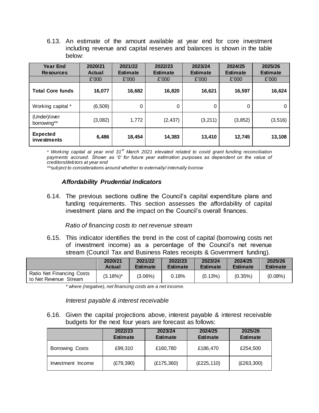6.13. An estimate of the amount available at year end for core investment including revenue and capital reserves and balances is shown in the table below:

| <b>Year End</b><br><b>Resources</b> | 2020/21<br>Actual | 2021/22<br><b>Estimate</b> | 2022/23<br><b>Estimate</b> | 2023/24<br><b>Estimate</b> |          | 2025/26<br><b>Estimate</b> |
|-------------------------------------|-------------------|----------------------------|----------------------------|----------------------------|----------|----------------------------|
|                                     | £'000             | £'000                      | £'000                      | £'000                      | £'000    | £'000                      |
| <b>Total Core funds</b>             | 16,077            | 16,682                     | 16,820                     | 16,621                     | 16,597   | 16,624                     |
| Working capital *                   | (6, 509)          | 0                          | 0                          | $\Omega$                   | 0        | 0                          |
| (Under)/over<br>borrowing**         | (3,082)           | 1,772                      | (2, 437)                   | (3, 211)                   | (3, 852) | (3, 516)                   |
| <b>Expected</b><br>investments      | 6,486             | 18,454                     | 14,383                     | 13,410                     | 12,745   | 13,108                     |

*\* Working capital at year end 31st March 2021 elevated related to covid grant funding reconciliation payments accrued. Shown as '0' for future year estimation purposes as dependent on the value of creditors/debtors at year end*

*\*\*subject to considerations around whether to externally/ internally borrow*

#### *Affordability Prudential Indicators*

6.14. The previous sections outline the Council's capital expenditure plans and funding requirements. This section assesses the affordability of capital investment plans and the impact on the Council's overall finances.

#### *Ratio of financing costs to net revenue stream*

6.15. This indicator identifies the trend in the cost of capital (borrowing costs net of investment income) as a percentage of the Council's net revenue stream (Council Tax and Business Rates receipts & Government funding).

|                                                    | 2020/21       | 2021/22         | 2022/23         | 2023/24         | 2024/25         | 2025/26         |
|----------------------------------------------------|---------------|-----------------|-----------------|-----------------|-----------------|-----------------|
|                                                    | <b>Actual</b> | <b>Estimate</b> | <b>Estimate</b> | <b>Estimate</b> | <b>Estimate</b> | <b>Estimate</b> |
| Ratio Net Financing Costs<br>to Net Revenue Stream | $(3.18\%)^*$  | $(3.06\%)$      | 0.18%           | (0.13%)         | (0.35%)         | $(0.08\%)$      |

*\* where (negative), net financing costs are a net income.*

*Interest payable & interest receivable*

6.16. Given the capital projections above, interest payable & interest receivable budgets for the next four years are forecast as follows:

|                        | 2022/23<br><b>Estimate</b> | 2023/24<br><b>Estimate</b> | 2024/25<br><b>Estimate</b> | 2025/26<br><b>Estimate</b> |
|------------------------|----------------------------|----------------------------|----------------------------|----------------------------|
| <b>Borrowing Costs</b> | £99,310                    | £160,780                   | £186,470                   | £254,500                   |
| Investment Income      | (E79, 390)                 | (E175,360)                 | (E225, 110)                | (E263,300)                 |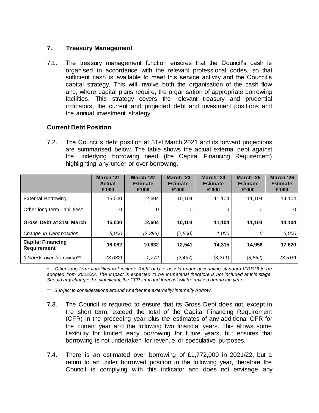# **7. Treasury Management**

7.1. The treasury management function ensures that the Council's cash is organised in accordance with the relevant professional codes, so that sufficient cash is available to meet this service activity and the Council's capital strategy. This will involve both the organisation of the cash flow and, where capital plans require, the organisation of appropriate borrowing facilities. This strategy covers the relevant treasury and prudential indicators, the current and projected debt and investment positions and the annual investment strategy.

# **Current Debt Position**

7.2. The Council's debt position at 31st March 2021 and its forward projections are summarised below. The table shows the actual external debt against the underlying borrowing need (the Capital Financing Requirement) highlighting any under or over borrowing.

|                                                | March '21<br><b>Actual</b><br>£'000 | March '22<br><b>Estimate</b><br>£'000 | March '23<br><b>Estimate</b><br>£'000 | March '24<br><b>Estimate</b><br>£'000 | March '25<br><b>Estimate</b><br>£'000 | March '26<br><b>Estimate</b><br>£'000 |
|------------------------------------------------|-------------------------------------|---------------------------------------|---------------------------------------|---------------------------------------|---------------------------------------|---------------------------------------|
| <b>External Borrowing</b>                      | 15.000                              | 12.604                                | 10.104                                | 11.104                                | 11.104                                | 14,104                                |
| Other long-term liabilities*                   | 0                                   | 0                                     | 0                                     | 0                                     | 0                                     | $\Omega$                              |
| Gross Debt at 31st March                       | 15,000                              | 12,604                                | 10,104                                | 11,104                                | 11,104                                | 14,104                                |
| Change in Debt position                        | 5,000                               | (2, 396)                              | (2,500)                               | 1,000                                 | 0                                     | 3,000                                 |
| <b>Capital Financing</b><br><b>Requirement</b> | 18,082                              | 10,832                                | 12,541                                | 14,315                                | 14,956                                | 17,620                                |
| (Under)/ over borrowing**                      | (3,082)                             | 1,772                                 | (2, 437)                              | (3, 211)                              | (3, 852)                              | (3, 516)                              |

*\* Other long-term liabilities will include Right-of-Use assets under accounting standard IFRS16 to be adopted from 2022/23. The impact is expected to be immaterial therefore is not included at this stage. Should any changes be significant, the CFR limit and forecast will be revised during the year.*

*\*\* Subject to considerations around whether the externally/ internally borrow*

- 7.3. The Council is required to ensure that its Gross Debt does not, except in the short term, exceed the total of the Capital Financing Requirement (CFR) in the preceding year plus the estimates of any additional CFR for the current year and the following two financial years. This allows some flexibility for limited early borrowing for future years, but ensures that borrowing is not undertaken for revenue or speculative purposes.
- 7.4. There is an estimated over borrowing of £1,772,000 in 2021/22, but a return to an under borrowed position in the following year, therefore the Council is complying with this indicator and does not envisage any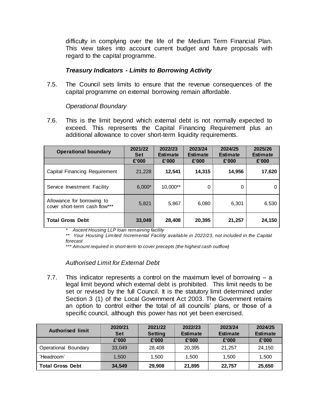difficulty in complying over the life of the Medium Term Financial Plan. This view takes into account current budget and future proposals with regard to the capital programme.

#### *Treasury Indicators - Limits to Borrowing Activity*

7.5. The Council sets limits to ensure that the revenue consequences of the capital programme on external borrowing remain affordable.

#### *Operational Boundary*

7.6. This is the limit beyond which external debt is not normally expected to exceed. This represents the Capital Financing Requirement plus an additional allowance to cover short-term liquidity requirements.

| <b>Operational boundary</b>                                 | 2021/22<br><b>Set</b> | 2022/23<br><b>Estimate</b> | 2023/24<br><b>Estimate</b> | 2024/25<br><b>Estimate</b> | 2025/26<br><b>Estimate</b> |
|-------------------------------------------------------------|-----------------------|----------------------------|----------------------------|----------------------------|----------------------------|
|                                                             | £'000                 | £'000                      | £'000                      | £'000                      | £'000                      |
| Capital Financing Requirement                               | 21,228                | 12,541                     | 14,315                     | 14,956                     | 17,620                     |
| Service Investment Facility                                 | $6,000*$              | 10,000**                   | 0                          | 0                          | 0                          |
| Allowance for borrowing to<br>cover short-term cash flow*** | 5,821                 | 5,867                      | 6,080                      | 6,301                      | 6,530                      |
| <b>Total Gross Debt</b>                                     | 33,049                | 28,408                     | 20,395                     | 21,257                     | 24,150                     |

*\* Ascent Housing LLP loan remaining facility*

*\*\* Your Housing Limited Incremental Facility available in 2022/23, not included in the Capital forecast*

*\*\*\* Amount required in short-term to cover precepts (the highest cash outflow)*

#### *Authorised Limit for External Debt*

7.7. This indicator represents a control on the maximum level of borrowing – a legal limit beyond which external debt is prohibited. This limit needs to be set or revised by the full Council. It is the statutory limit determined under Section 3 (1) of the Local Government Act 2003. The Government retains an option to control either the total of all councils' plans, or those of a specific council, although this power has not yet been exercised.

| <b>Authorised limit</b> | 2020/21<br><b>Set</b> | 2021/22<br><b>Setting</b> | 2022/23<br><b>Estimate</b> | 2023/24<br><b>Estimate</b> | 2024/25<br><b>Estimate</b> |
|-------------------------|-----------------------|---------------------------|----------------------------|----------------------------|----------------------------|
|                         | £'000                 | £'000                     | £'000                      | £'000                      | £'000                      |
| Operational Boundary    | 33.049                | 28.408                    | 20.395                     | 21,257                     | 24,150                     |
| 'Headroom'              | 1.500                 | 1.500                     | 1.500                      | 1.500                      | 1,500                      |
| <b>Total Gross Debt</b> | 34.549                | 29,908                    | 21,895                     | 22,757                     | 25,650                     |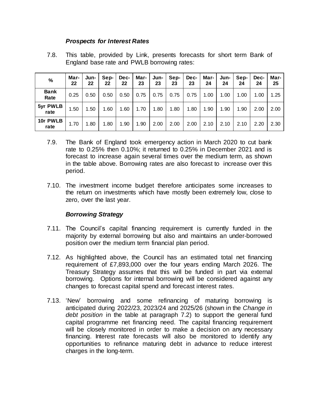#### *Prospects for Interest Rates*

7.8. This table, provided by Link, presents forecasts for short term Bank of England base rate and PWLB borrowing rates:

| $\%$                | Mar-<br>22 | Jun-<br>22 | Sep-<br>22 | Dec-<br>22 | Mar-<br>23 | Jun-<br>23 | Sep-<br>23 | Dec-<br>23 | Mar-<br>24 | Jun-<br>24 | Sep-<br>24 | Dec-<br>24 | Mar-<br>25 |
|---------------------|------------|------------|------------|------------|------------|------------|------------|------------|------------|------------|------------|------------|------------|
| <b>Bank</b><br>Rate | 0.25       | 0.50       | 0.50       | 0.50       | 0.75       | 0.75       | 0.75       | 0.75       | 1.00       | 1.00       | 1.00       | 1.00       | 1.25       |
| 5yr PWLB<br>rate    | l.50       | 1.50       | 1.60       | 1.60       | 1.70       | 1.80       | 1.80       | 1.80       | 1.90       | 1.90       | 1.90       | 2.00       | 2.00       |
| 10r PWLB<br>rate    | 1.70       | 1.80       | 1.80       | 1.90       | 1.90       | 2.00       | 2.00       | 2.00       | 2.10       | 2.10       | 2.10       | 2.20       | 2.30       |

- 7.9. The Bank of England took emergency action in March 2020 to cut bank rate to 0.25% then 0.10%; it returned to 0.25% in December 2021 and is forecast to increase again several times over the medium term, as shown in the table above. Borrowing rates are also forecast to increase over this period.
- 7.10. The investment income budget therefore anticipates some increases to the return on investments which have mostly been extremely low, close to zero, over the last year.

#### *Borrowing Strategy*

- 7.11. The Council's capital financing requirement is currently funded in the majority by external borrowing but also and maintains an under-borrowed position over the medium term financial plan period.
- 7.12. As highlighted above, the Council has an estimated total net financing requirement of £7,893,000 over the four years ending March 2026. The Treasury Strategy assumes that this will be funded in part via external borrowing. Options for internal borrowing will be considered against any changes to forecast capital spend and forecast interest rates.
- 7.13. 'New' borrowing and some refinancing of maturing borrowing is anticipated during 2022/23, 2023/24 and 2025/26 (shown in the *Change in debt position* in the table at paragraph 7.2) to support the general fund capital programme net financing need. The capital financing requirement will be closely monitored in order to make a decision on any necessary financing. Interest rate forecasts will also be monitored to identify any opportunities to refinance maturing debt in advance to reduce interest charges in the long-term.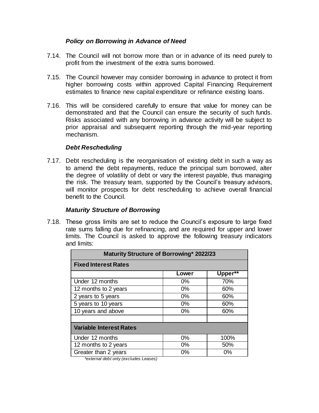### *Policy on Borrowing in Advance of Need*

- 7.14. The Council will not borrow more than or in advance of its need purely to profit from the investment of the extra sums borrowed.
- 7.15. The Council however may consider borrowing in advance to protect it from higher borrowing costs within approved Capital Financing Requirement estimates to finance new capital expenditure or refinance existing loans.
- 7.16. This will be considered carefully to ensure that value for money can be demonstrated and that the Council can ensure the security of such funds. Risks associated with any borrowing in advance activity will be subject to prior appraisal and subsequent reporting through the mid-year reporting mechanism.

#### *Debt Rescheduling*

7.17. Debt rescheduling is the reorganisation of existing debt in such a way as to amend the debt repayments, reduce the principal sum borrowed, alter the degree of volatility of debt or vary the interest payable, thus managing the risk. The treasury team, supported by the Council's treasury advisors, will monitor prospects for debt rescheduling to achieve overall financial benefit to the Council.

#### *Maturity Structure of Borrowing*

7.18. These gross limits are set to reduce the Council's exposure to large fixed rate sums falling due for refinancing, and are required for upper and lower limits. The Council is asked to approve the following treasury indicators and limits:

| Maturity Structure of Borrowing* 2022/23 |       |         |  |  |  |  |  |  |
|------------------------------------------|-------|---------|--|--|--|--|--|--|
| <b>Fixed Interest Rates</b>              |       |         |  |  |  |  |  |  |
|                                          | Lower | Upper** |  |  |  |  |  |  |
| Under 12 months                          | $0\%$ | 70%     |  |  |  |  |  |  |
| 12 months to 2 years                     | $0\%$ | 60%     |  |  |  |  |  |  |
| 2 years to 5 years                       | $0\%$ | 60%     |  |  |  |  |  |  |
| 5 years to 10 years                      | $0\%$ | 60%     |  |  |  |  |  |  |
| 10 years and above                       | $0\%$ | 60%     |  |  |  |  |  |  |
|                                          |       |         |  |  |  |  |  |  |
| <b>Variable Interest Rates</b>           |       |         |  |  |  |  |  |  |
| Under 12 months                          | $0\%$ | 100%    |  |  |  |  |  |  |
| 12 months to 2 years                     | $0\%$ | 50%     |  |  |  |  |  |  |
| Greater than 2 years                     | $0\%$ | $0\%$   |  |  |  |  |  |  |

*\*external debt only (excludes Leases)*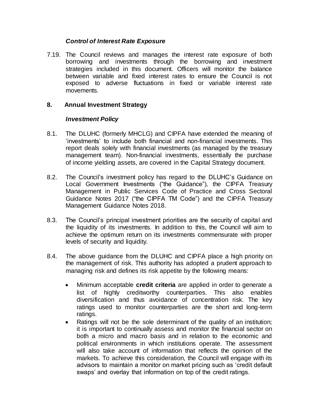### *Control of Interest Rate Exposure*

7.19. The Council reviews and manages the interest rate exposure of both borrowing and investments through the borrowing and investment strategies included in this document. Officers will monitor the balance between variable and fixed interest rates to ensure the Council is not exposed to adverse fluctuations in fixed or variable interest rate movements.

# **8. Annual Investment Strategy**

# *Investment Policy*

- 8.1. The DLUHC (formerly MHCLG) and CIPFA have extended the meaning of 'investments' to include both financial and non-financial investments. This report deals solely with financial investments (as managed by the treasury management team). Non-financial investments, essentially the purchase of income yielding assets, are covered in the Capital Strategy document.
- 8.2. The Council's investment policy has regard to the DLUHC's Guidance on Local Government Investments ("the Guidance"), the CIPFA Treasury Management in Public Services Code of Practice and Cross Sectoral Guidance Notes 2017 ("the CIPFA TM Code") and the CIPFA Treasury Management Guidance Notes 2018.
- 8.3. The Council's principal investment priorities are the security of capital and the liquidity of its investments. In addition to this, the Council will aim to achieve the optimum return on its investments commensurate with proper levels of security and liquidity.
- 8.4. The above guidance from the DLUHC and CIPFA place a high priority on the management of risk. This authority has adopted a prudent approach to managing risk and defines its risk appetite by the following means:
	- Minimum acceptable **credit criteria** are applied in order to generate a list of highly creditworthy counterparties. This also enables diversification and thus avoidance of concentration risk. The key ratings used to monitor counterparties are the short and long-term ratings.
	- Ratings will not be the sole determinant of the quality of an institution; it is important to continually assess and monitor the financial sector on both a micro and macro basis and in relation to the economic and political environments in which institutions operate. The assessment will also take account of information that reflects the opinion of the markets. To achieve this consideration, the Council will engage with its advisors to maintain a monitor on market pricing such as 'credit default swaps' and overlay that information on top of the credit ratings.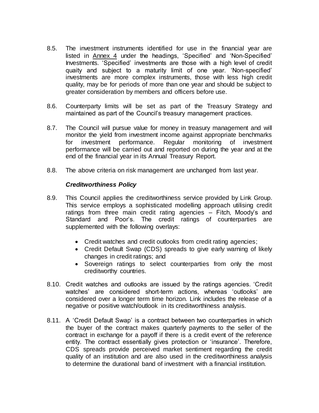- 8.5. The investment instruments identified for use in the financial year are listed in Annex 4 under the headings, 'Specified' and 'Non-Specified' Investments. 'Specified' investments are those with a high level of credit quaity and subject to a maturity limit of one year. 'Non-specified' investments are more complex instruments, those with less high credit quality, may be for periods of more than one year and should be subject to greater consideration by members and officers before use.
- 8.6. Counterparty limits will be set as part of the Treasury Strategy and maintained as part of the Council's treasury management practices.
- 8.7. The Council will pursue value for money in treasury management and will monitor the yield from investment income against appropriate benchmarks for investment performance. Regular monitoring of investment performance will be carried out and reported on during the year and at the end of the financial year in its Annual Treasury Report.
- 8.8. The above criteria on risk management are unchanged from last year.

#### *Creditworthiness Policy*

- 8.9. This Council applies the creditworthiness service provided by Link Group. This service employs a sophisticated modelling approach utilising credit ratings from three main credit rating agencies – Fitch, Moody's and Standard and Poor's. The credit ratings of counterparties are supplemented with the following overlays:
	- Credit watches and credit outlooks from credit rating agencies;
	- Credit Default Swap (CDS) spreads to give early warning of likely changes in credit ratings; and
	- Sovereign ratings to select counterparties from only the most creditworthy countries.
- 8.10. Credit watches and outlooks are issued by the ratings agencies. 'Credit watches' are considered short-term actions, whereas 'outlooks' are considered over a longer term time horizon. Link includes the release of a negative or positive watch/outlook in its creditworthiness analysis.
- 8.11. A 'Credit Default Swap' is a contract between two counterparties in which the buyer of the contract makes quarterly payments to the seller of the contract in exchange for a payoff if there is a credit event of the reference entity. The contract essentially gives protection or 'insurance'. Therefore, CDS spreads provide perceived market sentiment regarding the credit quality of an institution and are also used in the creditworthiness analysis to determine the durational band of investment with a financial institution.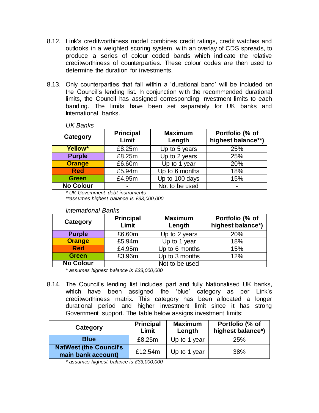- 8.12. Link's creditworthiness model combines credit ratings, credit watches and outlooks in a weighted scoring system, with an overlay of CDS spreads, to produce a series of colour coded bands which indicate the relative creditworthiness of counterparties. These colour codes are then used to determine the duration for investments.
- 8.13. Only counterparties that fall within a 'durational band' will be included on the Council's lending list. In conjunction with the recommended durational limits, the Council has assigned corresponding investment limits to each banding. The limits have been set separately for UK banks and International banks.

| UK Banks         |                           |                          |                                       |
|------------------|---------------------------|--------------------------|---------------------------------------|
| Category         | <b>Principal</b><br>Limit | <b>Maximum</b><br>Length | Portfolio (% of<br>highest balance**) |
| Yellow*          | £8.25m                    | Up to 5 years            | 25%                                   |
| <b>Purple</b>    | £8.25m                    | Up to 2 years            | 25%                                   |
| <b>Orange</b>    | £6.60m                    | Up to 1 year             | 20%                                   |
| <b>Red</b>       | £5.94m                    | Up to 6 months           | 18%                                   |
| <b>Green</b>     | £4.95m                    | Up to 100 days           | 15%                                   |
| <b>No Colour</b> |                           | Not to be used           |                                       |

*\* UK Government debt instruments \*\*assumes highest balance is £33,000,000*

| Category         | <b>Principal</b><br>Limit | <b>Maximum</b><br>Length | Portfolio (% of<br>highest balance*) |
|------------------|---------------------------|--------------------------|--------------------------------------|
| <b>Purple</b>    | £6.60m                    | Up to 2 years            | 20%                                  |
| <b>Orange</b>    | £5.94m                    | Up to 1 year             | 18%                                  |
| <b>Red</b>       | £4.95m                    | Up to 6 months           | 15%                                  |
| <b>Green</b>     | £3.96m                    | Up to 3 months           | 12%                                  |
| <b>No Colour</b> | $\blacksquare$            | Not to be used           |                                      |

*International Banks*

*UK Banks*

*\* assumes highest balance is £33,000,000*

8.14. The Council's lending list includes part and fully Nationalised UK banks, which have been assigned the 'blue' category as per Link's creditworthiness matrix. This category has been allocated a longer durational period and higher investment limit since it has strong Government support. The table below assigns investment limits:

| Category                                             | <b>Principal</b><br>Limit | <b>Maximum</b><br>Length | Portfolio (% of<br>highest balance*) |
|------------------------------------------------------|---------------------------|--------------------------|--------------------------------------|
| <b>Blue</b>                                          | £8.25m                    | Up to 1 year             | 25%                                  |
| <b>NatWest (the Council's)</b><br>main bank account) | £12.54m                   | Up to 1 year             | 38%                                  |

*\* assumes highest balance is £33,000,000*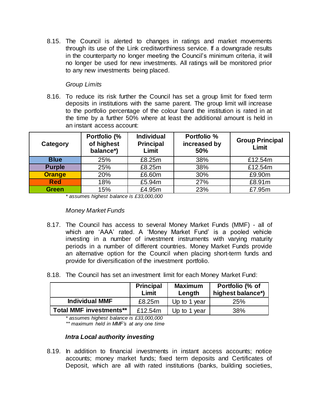8.15. The Council is alerted to changes in ratings and market movements through its use of the Link creditworthiness service. If a downgrade results in the counterparty no longer meeting the Council's minimum criteria, it will no longer be used for new investments. All ratings will be monitored prior to any new investments being placed.

## *Group Limits*

8.16. To reduce its risk further the Council has set a group limit for fixed term deposits in institutions with the same parent. The group limit will increase to the portfolio percentage of the colour band the institution is rated in at the time by a further 50% where at least the additional amount is held in an instant access account:

| Category      | Portfolio (%<br>of highest<br>balance*) | <b>Individual</b><br><b>Principal</b><br>Limit | <b>Portfolio %</b><br>increased by<br>50% | <b>Group Principal</b><br>Limit |
|---------------|-----------------------------------------|------------------------------------------------|-------------------------------------------|---------------------------------|
| <b>Blue</b>   | 25%                                     | £8.25m                                         | 38%                                       | £12.54m                         |
| <b>Purple</b> | 25%                                     | £8.25m                                         | 38%                                       | £12.54m                         |
| <b>Orange</b> | 20%                                     | £6.60m                                         | 30%                                       | £9.90m                          |
| <b>Red</b>    | 18%                                     | £5.94m                                         | 27%                                       | £8.91m                          |
| <b>Green</b>  | 15%                                     | £4.95m                                         | 23%                                       | £7.95m                          |

*\* assumes highest balance is £33,000,000*

*Money Market Funds*

- 8.17. The Council has access to several Money Market Funds (MMF) all of which are 'AAA' rated. A 'Money Market Fund' is a pooled vehicle investing in a number of investment instruments with varying maturity periods in a number of different countries. Money Market Funds provide an alternative option for the Council when placing short-term funds and provide for diversification of the investment portfolio.
- 8.18. The Council has set an investment limit for each Money Market Fund:

|                                | <b>Principal</b><br>Limit | <b>Maximum</b><br>Length | Portfolio (% of<br>highest balance*) |
|--------------------------------|---------------------------|--------------------------|--------------------------------------|
| <b>Individual MMF</b>          | £8.25m                    | Up to 1 year             | 25%                                  |
| <b>Total MMF investments**</b> | £12.54m                   | Up to 1 year             | 38%                                  |

*\* assumes highest balance is £33,000,000 \*\* maximum held in MMF's at any one time*

#### *Intra Local authority investing*

8.19. In addition to financial investments in instant access accounts; notice accounts; money market funds; fixed term deposits and Certificates of Deposit, which are all with rated institutions (banks, building societies,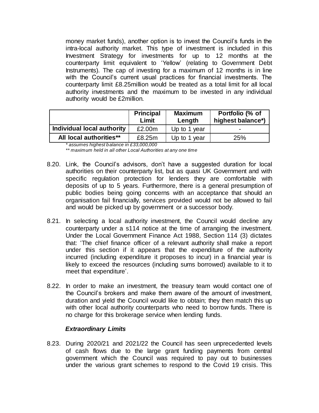money market funds), another option is to invest the Council's funds in the intra-local authority market. This type of investment is included in this Investment Strategy for investments for up to 12 months at the counterparty limit equivalent to 'Yellow' (relating to Government Debt Instruments). The cap of investing for a maximum of 12 months is in line with the Council's current usual practices for financial investments. The counterparty limit £8.25million would be treated as a total limit for all local authority investments and the maximum to be invested in any individual authority would be £2million.

|                            | <b>Principal</b><br>Limit | <b>Maximum</b><br>Length | Portfolio (% of<br>highest balance*) |
|----------------------------|---------------------------|--------------------------|--------------------------------------|
| Individual local authority | £2.00m                    | Up to 1 year             | $\overline{\phantom{0}}$             |
| All local authorities**    | £8.25m                    | Up to 1 year             | 25%                                  |

*\* assumes highest balance in £33,000,000* 

*\*\* maximum held in all other Local Authorities at any one time*

- 8.20. Link, the Council's advisors, don't have a suggested duration for local authorities on their counterparty list, but as quasi UK Government and with specific regulation protection for lenders they are comfortable with deposits of up to 5 years. Furthermore, there is a general presumption of public bodies being going concerns with an acceptance that should an organisation fail financially, services provided would not be allowed to fail and would be picked up by government or a successor body.
- 8.21. In selecting a local authority investment, the Council would decline any counterparty under a s114 notice at the time of arranging the investment. Under the Local Government Finance Act 1988, Section 114 (3) dictates that: 'The chief finance officer of a relevant authority shall make a report under this section if it appears that the expenditure of the authority incurred (including expenditure it proposes to incur) in a financial year is likely to exceed the resources (including sums borrowed) available to it to meet that expenditure'.
- 8.22. In order to make an investment, the treasury team would contact one of the Council's brokers and make them aware of the amount of investment, duration and yield the Council would like to obtain; they then match this up with other local authority counterparts who need to borrow funds. There is no charge for this brokerage service when lending funds.

#### *Extraordinary Limits*

8.23. During 2020/21 and 2021/22 the Council has seen unprecedented levels of cash flows due to the large grant funding payments from central government which the Council was required to pay out to businesses under the various grant schemes to respond to the Covid 19 crisis. This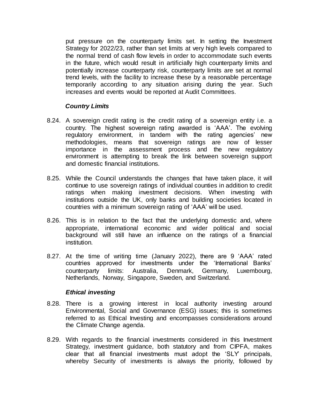put pressure on the counterparty limits set. In setting the Investment Strategy for 2022/23, rather than set limits at very high levels compared to the normal trend of cash flow levels in order to accommodate such events in the future, which would result in artificially high counterparty limits and potentially increase counterparty risk, counterparty limits are set at normal trend levels, with the facility to increase these by a reasonable percentage temporarily according to any situation arising during the year. Such increases and events would be reported at Audit Committees.

#### *Country Limits*

- 8.24. A sovereign credit rating is the credit rating of a sovereign entity i.e. a country. The highest sovereign rating awarded is 'AAA'. The evolving regulatory environment, in tandem with the rating agencies' new methodologies, means that sovereign ratings are now of lesser importance in the assessment process and the new regulatory environment is attempting to break the link between sovereign support and domestic financial institutions.
- 8.25. While the Council understands the changes that have taken place, it will continue to use sovereign ratings of individual counties in addition to credit ratings when making investment decisions. When investing with institutions outside the UK, only banks and building societies located in countries with a minimum sovereign rating of 'AAA' will be used.
- 8.26. This is in relation to the fact that the underlying domestic and, where appropriate, international economic and wider political and social background will still have an influence on the ratings of a financial institution.
- 8.27. At the time of writing time (January 2022), there are 9 'AAA' rated countries approved for investments under the 'International Banks' counterparty limits: Australia, Denmark, Germany, Luxembourg, Netherlands, Norway, Singapore, Sweden, and Switzerland.

#### *Ethical investing*

- 8.28. There is a growing interest in local authority investing around Environmental, Social and Governance (ESG) issues; this is sometimes referred to as Ethical Investing and encompasses considerations around the Climate Change agenda.
- 8.29. With regards to the financial investments considered in this Investment Strategy, investment guidance, both statutory and from CIPFA, makes clear that all financial investments must adopt the 'SLY' principals, whereby Security of investments is always the priority, followed by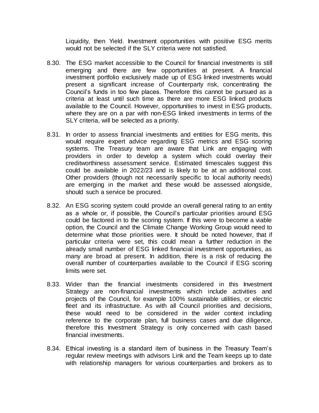Liquidity, then Yield. Investment opportunities with positive ESG merits would not be selected if the SLY criteria were not satisfied.

- 8.30. The ESG market accessible to the Council for financial investments is still emerging and there are few opportunities at present. A financial investment portfolio exclusively made up of ESG linked investments would present a significant increase of Counterparty risk, concentrating the Council's funds in too few places. Therefore this cannot be pursued as a criteria at least until such time as there are more ESG linked products available to the Council. However, opportunities to invest in ESG products, where they are on a par with non-ESG linked investments in terms of the SLY criteria, will be selected as a priority.
- 8.31. In order to assess financial investments and entities for ESG merits, this would require expert advice regarding ESG metrics and ESG scoring systems. The Treasury team are aware that Link are engaging with providers in order to develop a system which could overlay their creditworthiness assessment service. Estimated timescales suggest this could be available in 2022/23 and is likely to be at an additional cost. Other providers (though not necessarily specific to local authority needs) are emerging in the market and these would be assessed alongside, should such a service be procured.
- 8.32. An ESG scoring system could provide an overall general rating to an entity as a whole or, if possible, the Council's particular priorities around ESG could be factored in to the scoring system. If this were to become a viable option, the Council and the Climate Change Working Group would need to determine what those priorities were. It should be noted however, that if particular criteria were set, this could mean a further reduction in the already small number of ESG linked financial investment opportunities, as many are broad at present. In addition, there is a risk of reducing the overall number of counterparties available to the Council if ESG scoring limits were set.
- 8.33. Wider than the financial investments considered in this Investment Strategy are non-financial investments which include activities and projects of the Council, for example 100% sustainable utilities, or electric fleet and its infrastructure. As with all Council priorities and decisions, these would need to be considered in the wider context including reference to the corporate plan, full business cases and due diligence, therefore this Investment Strategy is only concerned with cash based financial investments.
- 8.34. Ethical investing is a standard item of business in the Treasury Team's regular review meetings with advisors Link and the Team keeps up to date with relationship managers for various counterparties and brokers as to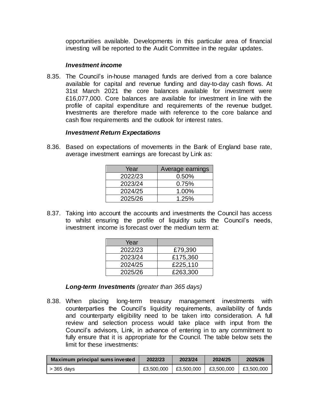opportunities available. Developments in this particular area of financial investing will be reported to the Audit Committee in the regular updates.

#### *Investment income*

8.35. The Council's in-house managed funds are derived from a core balance available for capital and revenue funding and day-to-day cash flows. At 31st March 2021 the core balances available for investment were £16,077,000. Core balances are available for investment in line with the profile of capital expenditure and requirements of the revenue budget. Investments are therefore made with reference to the core balance and cash flow requirements and the outlook for interest rates.

#### *Investment Return Expectations*

8.36. Based on expectations of movements in the Bank of England base rate, average investment earnings are forecast by Link as:

| Year    | Average earnings |
|---------|------------------|
| 2022/23 | 0.50%            |
| 2023/24 | 0.75%            |
| 2024/25 | 1.00%            |
| 2025/26 | 1.25%            |

8.37. Taking into account the accounts and investments the Council has access to whilst ensuring the profile of liquidity suits the Council's needs, investment income is forecast over the medium term at:

| Year    |          |
|---------|----------|
| 2022/23 | £79,390  |
| 2023/24 | £175,360 |
| 2024/25 | £225,110 |
| 2025/26 | £263,300 |

*Long-term Investments (greater than 365 days)*

8.38. When placing long-term treasury management investments with counterparties the Council's liquidity requirements, availability of funds and counterparty eligibility need to be taken into consideration. A full review and selection process would take place with input from the Council's advisors, Link, in advance of entering in to any commitment to fully ensure that it is appropriate for the Council. The table below sets the limit for these investments:

| Maximum principal sums invested | 2022/23    | 2023/24    | 2024/25    | 2025/26    |
|---------------------------------|------------|------------|------------|------------|
| $>$ 365 days                    | £3,500,000 | £3.500.000 | £3.500.000 | £3.500,000 |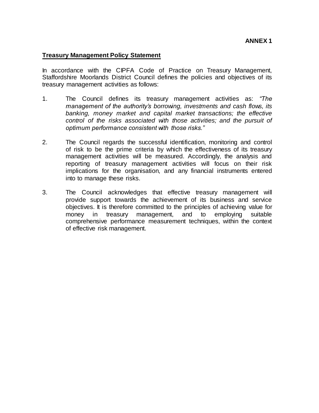#### **Treasury Management Policy Statement**

In accordance with the CIPFA Code of Practice on Treasury Management, Staffordshire Moorlands District Council defines the policies and objectives of its treasury management activities as follows:

- 1. The Council defines its treasury management activities as: *"The management of the authority's borrowing, investments and cash flows, its banking, money market and capital market transactions; the effective control of the risks associated with those activities; and the pursuit of optimum performance consistent with those risks."*
- 2. The Council regards the successful identification, monitoring and control of risk to be the prime criteria by which the effectiveness of its treasury management activities will be measured. Accordingly, the analysis and reporting of treasury management activities will focus on their risk implications for the organisation, and any financial instruments entered into to manage these risks.
- 3. The Council acknowledges that effective treasury management will provide support towards the achievement of its business and service objectives. It is therefore committed to the principles of achieving value for money in treasury management, and to employing suitable comprehensive performance measurement techniques, within the context of effective risk management.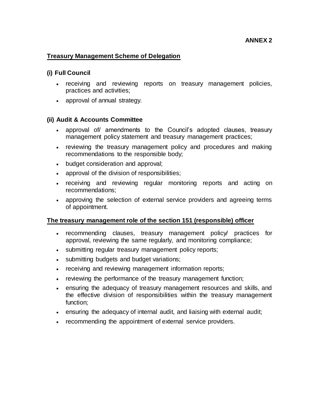#### **Treasury Management Scheme of Delegation**

#### **(i) Full Council**

- receiving and reviewing reports on treasury management policies, practices and activities;
- approval of annual strategy.

#### **(ii) Audit & Accounts Committee**

- approval of/ amendments to the Council's adopted clauses, treasury management policy statement and treasury management practices;
- reviewing the treasury management policy and procedures and making recommendations to the responsible body;
- budget consideration and approval;
- approval of the division of responsibilities;
- receiving and reviewing regular monitoring reports and acting on recommendations;
- approving the selection of external service providers and agreeing terms of appointment.

#### **The treasury management role of the section 151 (responsible) officer**

- recommending clauses, treasury management policy/ practices for approval, reviewing the same regularly, and monitoring compliance;
- submitting regular treasury management policy reports;
- submitting budgets and budget variations;
- receiving and reviewing management information reports;
- reviewing the performance of the treasury management function;
- ensuring the adequacy of treasury management resources and skills, and the effective division of responsibilities within the treasury management function;
- ensuring the adequacy of internal audit, and liaising with external audit;
- recommending the appointment of external service providers.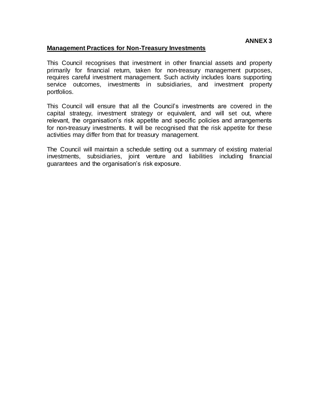#### **Management Practices for Non-Treasury Investments**

This Council recognises that investment in other financial assets and property primarily for financial return, taken for non-treasury management purposes, requires careful investment management. Such activity includes loans supporting service outcomes, investments in subsidiaries, and investment property portfolios.

This Council will ensure that all the Council's investments are covered in the capital strategy, investment strategy or equivalent, and will set out, where relevant, the organisation's risk appetite and specific policies and arrangements for non-treasury investments. It will be recognised that the risk appetite for these activities may differ from that for treasury management.

The Council will maintain a schedule setting out a summary of existing material investments, subsidiaries, joint venture and liabilities including financial guarantees and the organisation's risk exposure.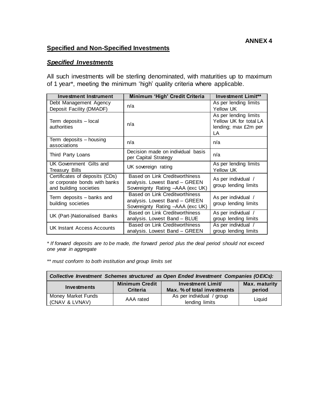# **Specified and Non-Specified Investments**

#### *Specified Investments*

All such investments will be sterling denominated, with maturities up to maximum of 1 year\*, meeting the minimum 'high' quality criteria where applicable.

| <b>Investment Instrument</b>                                                              | Minimum 'High' Credit Criteria                                                                      | <b>Investment Limit**</b>                                                     |
|-------------------------------------------------------------------------------------------|-----------------------------------------------------------------------------------------------------|-------------------------------------------------------------------------------|
| Debt Management Agency                                                                    | n/a                                                                                                 | As per lending limits                                                         |
| Deposit Facility (DMADF)                                                                  |                                                                                                     | Yellow UK                                                                     |
| Term deposits - local<br>authorities                                                      | n/a                                                                                                 | As per lending limits<br>Yellow UK for total LA<br>lending; max £2m per<br>LA |
| Term deposits - housing<br>associations                                                   | n/a                                                                                                 | n/a                                                                           |
| Third Party Loans                                                                         | Decision made on individual basis<br>per Capital Strategy                                           | n/a                                                                           |
| UK Government Gilts and<br><b>Treasury Bills</b>                                          | UK sovereign rating                                                                                 | As per lending limits<br>Yellow UK                                            |
| Certificates of deposits (CDs)<br>or corporate bonds with banks<br>and building societies | Based on Link Creditworthiness<br>analysis. Lowest Band - GREEN<br>Sovereignty Rating -AAA (exc UK) | As per individual /<br>group lending limits                                   |
| Term deposits - banks and<br>building societies                                           | Based on Link Creditworthiness<br>analysis. Lowest Band - GREEN<br>Sovereignty Rating -AAA (exc UK) | As per individual /<br>group lending limits                                   |
| UK (Part-)Nationalised Banks                                                              | <b>Based on Link Creditworthiness</b><br>analysis. Lowest Band - BLUE                               | As per individual /<br>group lending limits                                   |
| UK Instant Access Accounts                                                                | <b>Based on Link Creditworthiness</b><br>analysis. Lowest Band - GREEN                              | As per individual /<br>group lending limits                                   |

*\* If forward deposits are to be made, the forward period plus the deal period should not exceed one year in aggregate* 

*\*\* must conform to both institution and group limits set*

| Collective Investment Schemes structured as Open Ended Investment Companies (OEICs): |                                          |                                                  |                         |
|--------------------------------------------------------------------------------------|------------------------------------------|--------------------------------------------------|-------------------------|
| Investments                                                                          | <b>Minimum Credit</b><br><b>Criteria</b> | Investment Limit/<br>Max. % of total investments | Max. maturity<br>period |
| Money Market Funds<br>(CNAV & LVNAV)                                                 | AAA rated                                | As per individual / group<br>lending limits      | Liauid                  |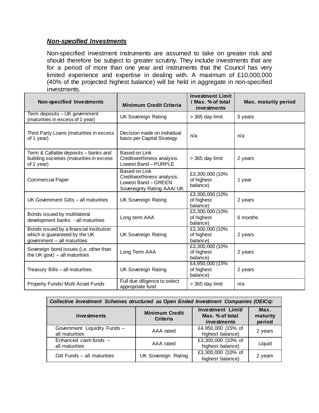# *Non-specified Investments*

Non-specified investment instruments are assumed to take on greater risk and should therefore be subject to greater scrutiny. They include investments that are for a period of more than one year and instruments that the Council has very limited experience and expertise in dealing with. A maximum of £10,000,000 (40% of the projected highest balance) will be held in aggregate in non-specified investments.

| <b>Non-specified Investments</b>                                                                        | <b>Minimum Credit Criteria</b>                                                                   | <b>Investment Limit</b><br>/ Max. % of total<br>investments | <b>Max. maturity period</b> |
|---------------------------------------------------------------------------------------------------------|--------------------------------------------------------------------------------------------------|-------------------------------------------------------------|-----------------------------|
| Term deposits - UK government<br>(maturities in excess of 1 year)                                       | <b>UK Sovereign Rating</b>                                                                       | > 365 day limit                                             | 5 years                     |
| Third Party Loans (maturities in excess<br>of 1 year)                                                   | Decision made on individual<br>basis per Capital Strategy                                        | n/a                                                         | n/a                         |
| Term & Callable deposits - banks and<br>building societies (maturities in excess<br>of 1 year)          | Based on Link<br>Creditworthiness analysis.<br>Lowest Band - PURPLE                              | > 365 day limit                                             | 2 years                     |
| <b>Commercial Paper</b>                                                                                 | Based on Link<br>Creditworthiness analysis.<br>Lowest Band - GREEN<br>Sovereignty Rating AAA/ UK | £3,300,000 (10%<br>of highest<br>balance)                   | 1 year                      |
| UK Government Gilts - all maturities                                                                    | <b>UK Sovereign Rating</b>                                                                       | £3,300,000 (10%<br>of highest<br>balance)                   | 2 years                     |
| Bonds issued by multilateral<br>development banks - all maturities                                      | Long term AAA                                                                                    | £3,300,000 (10%<br>of highest<br>balance)                   | 6 months                    |
| Bonds issued by a financial institution<br>which is guaranteed by the UK<br>government - all maturities | <b>UK Sovereign Rating</b>                                                                       | £3,300,000 (10%<br>of highest<br>balance)                   | 2 years                     |
| Sovereign bond issues (i.e. other than<br>the UK govt) $-$ all maturities                               | Long Term AAA                                                                                    | £3,300,000 (10%<br>of highest<br>balance)                   | 2 years                     |
| Treasury Bills - all maturities                                                                         | <b>UK Sovereign Rating</b>                                                                       | £4,950,000 (15%)<br>of highest<br>balance)                  | 2 years                     |
| Property Funds/ Multi Asset Funds                                                                       | Full due diligence to select<br>appropriate fund                                                 | > 365 day limit                                             | n/a                         |

| Collective Investment Schemes structured as Open Ended Investment Companies (OEICs): |                                          |                                                    |                            |
|--------------------------------------------------------------------------------------|------------------------------------------|----------------------------------------------------|----------------------------|
| Investments                                                                          | <b>Minimum Credit</b><br><b>Criteria</b> | Investment Limit<br>Max. % of total<br>investments | Max.<br>maturity<br>period |
| Government Liquidity Funds -<br>all maturities                                       | AAA rated                                | £4,950,000 (15% of<br>highest balance)             | 2 years                    |
| Enhanced cash funds -<br>all maturities                                              | AAA rated                                | £3,300,000 (10% of<br>highest balance)             | Liquid                     |
| Gilt Funds - all maturities                                                          | <b>UK Sovereign Rating</b>               | £3,300,000 (10% of<br>highest balance)             | 2 years                    |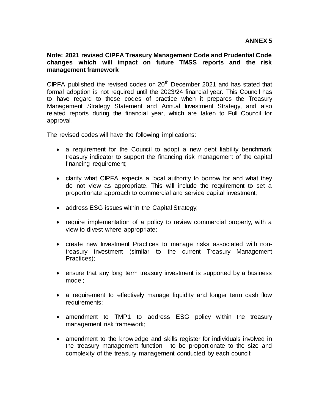#### **Note: 2021 revised CIPFA Treasury Management Code and Prudential Code changes which will impact on future TMSS reports and the risk management framework**

CIPFA published the revised codes on  $20<sup>th</sup>$  December 2021 and has stated that formal adoption is not required until the 2023/24 financial year. This Council has to have regard to these codes of practice when it prepares the Treasury Management Strategy Statement and Annual Investment Strategy, and also related reports during the financial year, which are taken to Full Council for approval*.* 

The revised codes will have the following implications:

- a requirement for the Council to adopt a new debt liability benchmark treasury indicator to support the financing risk management of the capital financing requirement;
- clarify what CIPFA expects a local authority to borrow for and what they do not view as appropriate. This will include the requirement to set a proportionate approach to commercial and service capital investment;
- address ESG issues within the Capital Strategy;
- require implementation of a policy to review commercial property, with a view to divest where appropriate;
- create new Investment Practices to manage risks associated with nontreasury investment (similar to the current Treasury Management Practices);
- ensure that any long term treasury investment is supported by a business model;
- a requirement to effectively manage liquidity and longer term cash flow requirements;
- amendment to TMP1 to address ESG policy within the treasury management risk framework;
- amendment to the knowledge and skills register for individuals involved in the treasury management function - to be proportionate to the size and complexity of the treasury management conducted by each council;